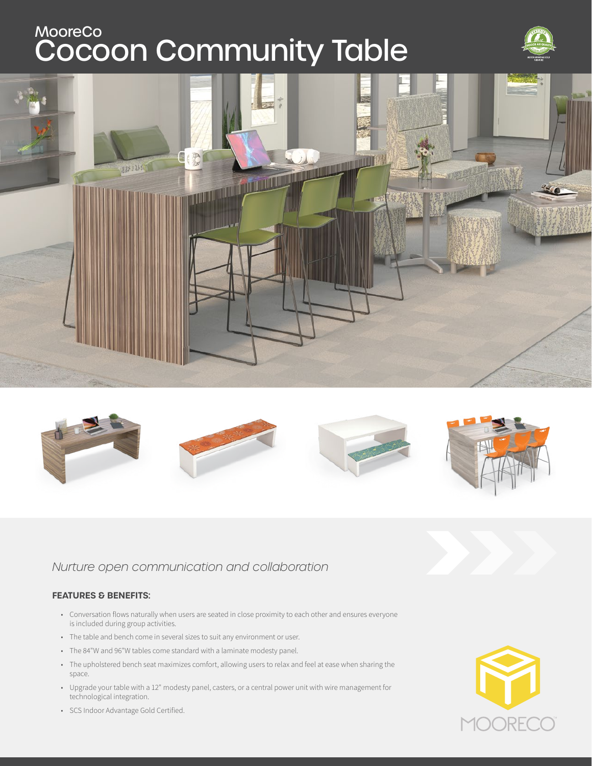# **Cocoon Community Table** MooreCo







## *Nurture open communication and collaboration*

## **FEATURES & BENEFITS:**

- Conversation flows naturally when users are seated in close proximity to each other and ensures everyone is included during group activities.
- The table and bench come in several sizes to suit any environment or user.
- The 84"W and 96"W tables come standard with a laminate modesty panel.
- The upholstered bench seat maximizes comfort, allowing users to relax and feel at ease when sharing the space.
- Upgrade your table with a 12" modesty panel, casters, or a central power unit with wire management for technological integration.



• SCS Indoor Advantage Gold Certified.